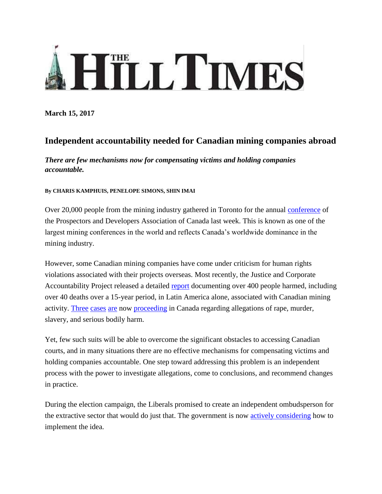## HILL TIMES

**March 15, 2017**

## **Independent accountability needed for Canadian mining companies abroad**

*There are few mechanisms now for compensating victims and holding companies accountable.*

## **By CHARIS KAMPHUIS, PENELOPE SIMONS, SHIN IMAI**

Over 20,000 people from the mining industry gathered in Toronto for the annual [conference](http://www.pdac.ca/convention) of the Prospectors and Developers Association of Canada last week. This is known as one of the largest mining conferences in the world and reflects Canada's worldwide dominance in the mining industry.

However, some Canadian mining companies have come under criticism for human rights violations associated with their projects overseas. Most recently, the Justice and Corporate Accountability Project released a detailed [report](https://papers.ssrn.com/sol3/papers2.cfm?abstract_id=2886584) documenting over 400 people harmed, including over 40 deaths over a 15-year period, in Latin America alone, associated with Canadian mining activity. [Three](http://www.canlii.org/en/bc/bcca/doc/2017/2017bcca39/2017bcca39.html) [cases](http://www.canlii.org/en/on/onsc/doc/2013/2013onsc1414/2013onsc1414.pdf) [are](http://www.canlii.org/en/bc/bcsc/doc/2016/2016bcsc1856/2016bcsc1856.html) now [proceeding](http://www.theglobeandmail.com/news/british-columbia/bc-court-rules-guatemalan-lawsuit-against-tahoe-resources-can-proceed/article33790534/) in Canada regarding allegations of rape, murder, slavery, and serious bodily harm.

Yet, few such suits will be able to overcome the significant obstacles to accessing Canadian courts, and in many situations there are no effective mechanisms for compensating victims and holding companies accountable. One step toward addressing this problem is an independent process with the power to investigate allegations, come to conclusions, and recommend changes in practice.

During the election campaign, the Liberals promised to create an independent ombudsperson for the extractive sector that would do just that. The government is now [actively considering](https://www.hilltimes.com/2016/11/09/feds-seriously-considering-mining-ombudsman-says-canadas-corporate-social-responsibility-envoy/86691) how to implement the idea.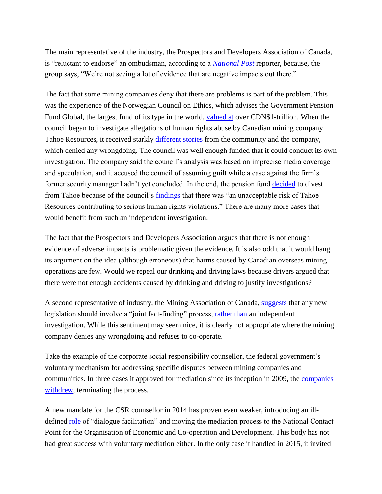The main representative of the industry, the Prospectors and Developers Association of Canada, is "reluctant to endorse" an ombudsman, according to a *[National](http://business.financialpost.com/business/the-case-for-and-against-an-ombudsperson-to-resolve-mining-disputes) Post* reporter, because, the group says, "We're not seeing a lot of evidence that are negative impacts out there."

The fact that some mining companies deny that there are problems is part of the problem. This was the experience of the Norwegian Council on Ethics, which advises the Government Pension Fund Global, the largest fund of its type in the world, [valued at](https://www.nbim.no/en/the-fund/) over CDN\$1-trillion. When the council began to investigate allegations of human rights abuse by Canadian mining company Tahoe Resources, it received starkly [different stories](http://etikkradet.no/files/2015/01/Council-on-Ethics-2014-Annual-Report.pdf) from the community and the company, which denied any wrongdoing. The council was well enough funded that it could conduct its own investigation. The company said the council's analysis was based on imprecise media coverage and speculation, and it accused the council of assuming guilt while a case against the firm's former security manager hadn't yet concluded. In the end, the pension fund [decided](http://www.ciel.org/norway-divests-from-tahoe/) to divest from Tahoe because of the council's [findings](http://etikkradet.no/files/2015/01/Council-on-Ethics-2014-Annual-Report.pdf) that there was "an unacceptable risk of Tahoe Resources contributing to serious human rights violations." There are many more cases that would benefit from such an independent investigation.

The fact that the Prospectors and Developers Association argues that there is not enough evidence of adverse impacts is problematic given the evidence. It is also odd that it would hang its argument on the idea (although erroneous) that harms caused by Canadian overseas mining operations are few. Would we repeal our drinking and driving laws because drivers argued that there were not enough accidents caused by drinking and driving to justify investigations?

A second representative of industry, the Mining Association of Canada, [suggests](http://www.mining-technology.com/features/featurecanadas-mining-ombudsman-has-it-come-too-late-5715514/) that any new legislation should involve a "joint fact-finding" process, [rather than](http://listedmag.com/2017/03/not-so-innocent-abroad/) an independent investigation. While this sentiment may seem nice, it is clearly not appropriate where the mining company denies any wrongdoing and refuses to co-operate.

Take the example of the corporate social responsibility counsellor, the federal government's voluntary mechanism for addressing specific disputes between mining companies and communities. In three cases it approved for mediation since its inception in 2009, the [companies](http://www.international.gc.ca/csr_counsellor-conseiller_rse/Registry-web-enregistrement.aspx?lang=eng)  [withdrew,](http://www.international.gc.ca/csr_counsellor-conseiller_rse/Registry-web-enregistrement.aspx?lang=eng) terminating the process.

A new mandate for the CSR counsellor in 2014 has proven even weaker, introducing an illdefined [role](http://www.international.gc.ca/csr_counsellor-conseiller_rse/index.aspx?lang=eng) of "dialogue facilitation" and moving the mediation process to the National Contact Point for the Organisation of Economic and Co-operation and Development. This body has not had great success with voluntary mediation either. In the only case it handled in 2015, it invited